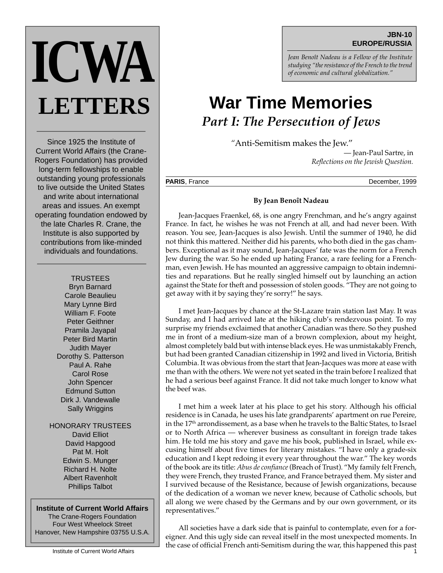## **JBN-10 EUROPE/RUSSIA**

*Jean Benoît Nadeau is a Fellow of the Institute studying "the resistance of the French to the trend of economic and cultural globalization."*

## **War Time Memories** *Part I: The Persecution of Jews*

*"*Anti-Semitism makes the Jew."

— Jean-Paul Sartre, in *Reflections on the Jewish Question.*

**PARIS**, France **December, 1999** 

**By Jean Benoît Nadeau**

Jean-Jacques Fraenkel, 68, is one angry Frenchman, and he's angry against France. In fact, he wishes he was not French at all, and had never been. With reason. You see, Jean-Jacques is also Jewish. Until the summer of 1940, he did not think this mattered. Neither did his parents, who both died in the gas chambers. Exceptional as it may sound, Jean-Jacques' fate was the norm for a French Jew during the war. So he ended up hating France, a rare feeling for a Frenchman, even Jewish. He has mounted an aggressive campaign to obtain indemnities and reparations. But he really singled himself out by launching an action against the State for theft and possession of stolen goods. "They are not going to get away with it by saying they're sorry!" he says.

I met Jean-Jacques by chance at the St-Lazare train station last May. It was Sunday, and I had arrived late at the hiking club's rendezvous point. To my surprise my friends exclaimed that another Canadian was there. So they pushed me in front of a medium-size man of a brown complexion, about my height, almost completely bald but with intense black eyes. He was unmistakably French, but had been granted Canadian citizenship in 1992 and lived in Victoria, British Columbia. It was obvious from the start that Jean-Jacques was more at ease with me than with the others. We were not yet seated in the train before I realized that he had a serious beef against France. It did not take much longer to know what the beef was.

I met him a week later at his place to get his story. Although his official residence is in Canada, he uses his late grandparents' apartment on rue Pereire, in the 17th arrondissement, as a base when he travels to the Baltic States, to Israel or to North Africa — wherever business as consultant in foreign trade takes him. He told me his story and gave me his book, published in Israel, while excusing himself about five times for literary mistakes. "I have only a grade-six education and I kept redoing it every year throughout the war." The key words of the book are its title: *Abus de confiance* (Breach of Trust). "My family felt French, they were French, they trusted France, and France betrayed them. My sister and I survived because of the Resistance, because of Jewish organizations, because of the dedication of a woman we never knew, because of Catholic schools, but all along we were chased by the Germans and by our own government, or its representatives."

All societies have a dark side that is painful to contemplate, even for a foreigner. And this ugly side can reveal itself in the most unexpected moments. In the case of official French anti-Semitism during the war, this happened this past

Since 1925 the Institute of Current World Affairs (the Crane-Rogers Foundation) has provided long-term fellowships to enable outstanding young professionals to live outside the United States and write about international areas and issues. An exempt operating foundation endowed by the late Charles R. Crane, the Institute is also supported by contributions from like-minded individuals and foundations.

**ICWA**

**LETTERS**

**TRUSTEES** Bryn Barnard Carole Beaulieu Mary Lynne Bird William F. Foote Peter Geithner Pramila Jayapal Peter Bird Martin Judith Mayer Dorothy S. Patterson Paul A. Rahe Carol Rose John Spencer Edmund Sutton Dirk J. Vandewalle Sally Wriggins

HONORARY TRUSTEES David Elliot David Hapgood Pat M. Holt Edwin S. Munger Richard H. Nolte Albert Ravenholt Phillips Talbot

**Institute of Current World Affairs** The Crane-Rogers Foundation Four West Wheelock Street Hanover, New Hampshire 03755 U.S.A.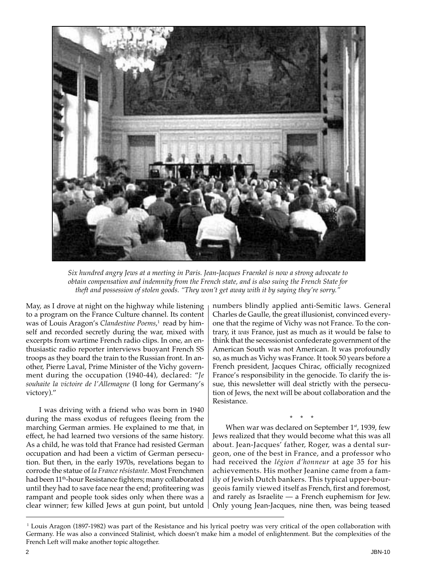

*Six hundred angry Jews at a meeting in Paris. Jean-Jacques Fraenkel is now a strong advocate to obtain compensation and indemnity from the French state, and is also suing the French State for theft and possession of stolen goods. "They won't get away with it by saying they're sorry."*

May, as I drove at night on the highway while listening to a program on the France Culture channel. Its content was of Louis Aragon's *Clandestine Poems*, 1 read by himself and recorded secretly during the war, mixed with excerpts from wartime French radio clips. In one, an enthusiastic radio reporter interviews buoyant French SS troops as they board the train to the Russian front. In another, Pierre Laval, Prime Minister of the Vichy government during the occupation (1940-44), declared: "*Je souhaite la victoire de l'Allemagne* (I long for Germany's victory)."

I was driving with a friend who was born in 1940 during the mass exodus of refugees fleeing from the marching German armies. He explained to me that, in effect, he had learned two versions of the same history. As a child, he was told that France had resisted German occupation and had been a victim of German persecution. But then, in the early 1970s, revelations began to corrode the statue of *la France résistante*. Most Frenchmen had been 11<sup>th</sup>-hour Resistance fighters; many collaborated until they had to save face near the end; profiteering was rampant and people took sides only when there was a clear winner; few killed Jews at gun point, but untold

numbers blindly applied anti-Semitic laws. General Charles de Gaulle, the great illusionist, convinced everyone that the regime of Vichy was not France. To the contrary, it *was* France, just as much as it would be false to think that the secessionist confederate government of the American South was not American. It was profoundly so, as much as Vichy was France. It took 50 years before a French president, Jacques Chirac, officially recognized France's responsibility in the genocide. To clarify the issue, this newsletter will deal strictly with the persecution of Jews, the next will be about collaboration and the Resistance.

\* \* \* When war was declared on September  $1<sup>st</sup>$ , 1939, few Jews realized that they would become what this was all about. Jean-Jacques' father, Roger, was a dental surgeon, one of the best in France, and a professor who had received the *légion d'honneur* at age 35 for his achievements. His mother Jeanine came from a family of Jewish Dutch bankers. This typical upper-bourgeois family viewed itself as French, first and foremost, and rarely as Israelite — a French euphemism for Jew. Only young Jean-Jacques, nine then, was being teased

<sup>1</sup> Louis Aragon (1897-1982) was part of the Resistance and his lyrical poetry was very critical of the open collaboration with Germany. He was also a convinced Stalinist, which doesn't make him a model of enlightenment. But the complexities of the French Left will make another topic altogether.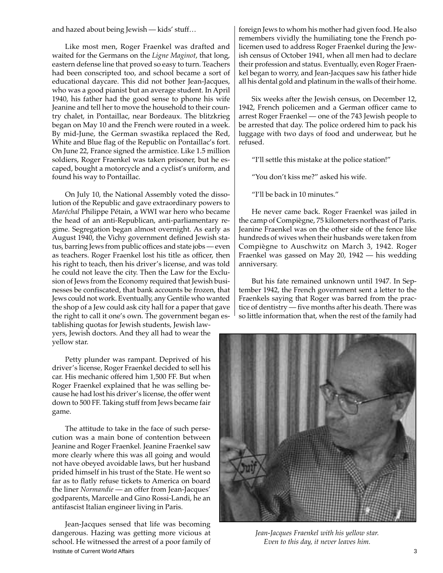and hazed about being Jewish — kids' stuff…

Like most men, Roger Fraenkel was drafted and waited for the Germans on the *Ligne Maginot*, that long, eastern defense line that proved so easy to turn. Teachers had been conscripted too, and school became a sort of educational daycare. This did not bother Jean-Jacques, who was a good pianist but an average student. In April 1940, his father had the good sense to phone his wife Jeanine and tell her to move the household to their country chalet, in Pontaillac, near Bordeaux. The blitzkrieg began on May 10 and the French were routed in a week. By mid-June, the German swastika replaced the Red, White and Blue flag of the Republic on Pontaillac's fort. On June 22, France signed the armistice. Like 1.5 million soldiers, Roger Fraenkel was taken prisoner, but he escaped, bought a motorcycle and a cyclist's uniform, and found his way to Pontaillac.

On July 10, the National Assembly voted the dissolution of the Republic and gave extraordinary powers to *Maréchal* Philippe Pétain, a WWI war hero who became the head of an anti-Republican, anti-parliamentary regime. Segregation began almost overnight. As early as August 1940, the Vichy government defined Jewish status, barring Jews from public offices and state jobs — even as teachers. Roger Fraenkel lost his title as officer, then his right to teach, then his driver's license, and was told he could not leave the city. Then the Law for the Exclusion of Jews from the Economy required that Jewish businesses be confiscated, that bank accounts be frozen, that Jews could not work. Eventually, any Gentile who wanted the shop of a Jew could ask city hall for a paper that gave the right to call it one's own. The government began establishing quotas for Jewish students, Jewish law-

yers, Jewish doctors. And they all had to wear the yellow star.

Petty plunder was rampant. Deprived of his driver's license, Roger Fraenkel decided to sell his car. His mechanic offered him 1,500 FF. But when Roger Fraenkel explained that he was selling because he had lost his driver's license, the offer went down to 500 FF. Taking stuff from Jews became fair game.

The attitude to take in the face of such persecution was a main bone of contention between Jeanine and Roger Fraenkel. Jeanine Fraenkel saw more clearly where this was all going and would not have obeyed avoidable laws, but her husband prided himself in his trust of the State. He went so far as to flatly refuse tickets to America on board the liner *Normandie* — an offer from Jean-Jacques' godparents, Marcelle and Gino Rossi-Landi, he an antifascist Italian engineer living in Paris.

**Institute of Current World Affairs 3** 3 Jean-Jacques sensed that life was becoming dangerous. Hazing was getting more vicious at school. He witnessed the arrest of a poor family of

foreign Jews to whom his mother had given food. He also remembers vividly the humiliating tone the French policemen used to address Roger Fraenkel during the Jewish census of October 1941, when all men had to declare their profession and status. Eventually, even Roger Fraenkel began to worry, and Jean-Jacques saw his father hide all his dental gold and platinum in the walls of their home.

Six weeks after the Jewish census, on December 12, 1942, French policemen and a German officer came to arrest Roger Fraenkel — one of the 743 Jewish people to be arrested that day. The police ordered him to pack his luggage with two days of food and underwear, but he refused.

"I'll settle this mistake at the police station!"

"You don't kiss me?" asked his wife.

"I'll be back in 10 minutes."

He never came back. Roger Fraenkel was jailed in the camp of Compiègne, 75 kilometers northeast of Paris. Jeanine Fraenkel was on the other side of the fence like hundreds of wives when their husbands were taken from Compiègne to Auschwitz on March 3, 1942. Roger Fraenkel was gassed on May 20, 1942 — his wedding anniversary.

But his fate remained unknown until 1947. In September 1942, the French government sent a letter to the Fraenkels saying that Roger was barred from the practice of dentistry — five months after his death. There was so little information that, when the rest of the family had



*Jean-Jacques Fraenkel with his yellow star. Even to this day, it never leaves him.*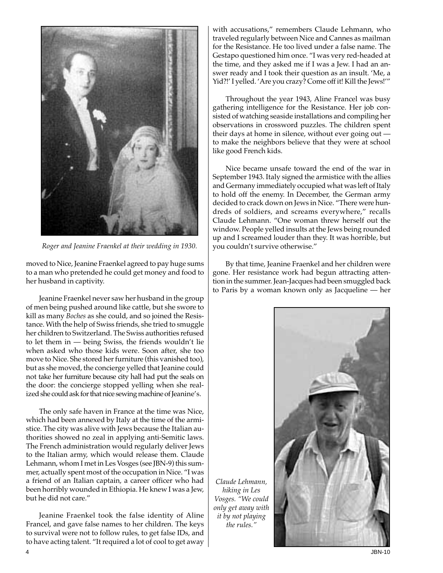

*Roger and Jeanine Fraenkel at their wedding in 1930.*

moved to Nice, Jeanine Fraenkel agreed to pay huge sums to a man who pretended he could get money and food to her husband in captivity.

Jeanine Fraenkel never saw her husband in the group of men being pushed around like cattle, but she swore to kill as many *Boches* as she could, and so joined the Resistance. With the help of Swiss friends, she tried to smuggle her children to Switzerland. The Swiss authorities refused to let them in — being Swiss, the friends wouldn't lie when asked who those kids were. Soon after, she too move to Nice. She stored her furniture (this vanished too), but as she moved, the concierge yelled that Jeanine could not take her furniture because city hall had put the seals on the door: the concierge stopped yelling when she realized she could ask for that nice sewing machine of Jeanine's.

The only safe haven in France at the time was Nice, which had been annexed by Italy at the time of the armistice. The city was alive with Jews because the Italian authorities showed no zeal in applying anti-Semitic laws. The French administration would regularly deliver Jews to the Italian army, which would release them. Claude Lehmann, whom I met in Les Vosges (see JBN-9) this summer, actually spent most of the occupation in Nice. "I was a friend of an Italian captain, a career officer who had been horribly wounded in Ethiopia. He knew I was a Jew, but he did not care."

Jeanine Fraenkel took the false identity of Aline Francel, and gave false names to her children. The keys to survival were not to follow rules, to get false IDs, and to have acting talent. "It required a lot of cool to get away

with accusations," remembers Claude Lehmann, who traveled regularly between Nice and Cannes as mailman for the Resistance. He too lived under a false name. The Gestapo questioned him once. "I was very red-headed at the time, and they asked me if I was a Jew. I had an answer ready and I took their question as an insult. 'Me, a Yid?!' I yelled. 'Are you crazy? Come off it! Kill the Jews!'"

Throughout the year 1943, Aline Francel was busy gathering intelligence for the Resistance. Her job consisted of watching seaside installations and compiling her observations in crossword puzzles. The children spent their days at home in silence, without ever going out to make the neighbors believe that they were at school like good French kids.

Nice became unsafe toward the end of the war in September 1943. Italy signed the armistice with the allies and Germany immediately occupied what was left of Italy to hold off the enemy. In December, the German army decided to crack down on Jews in Nice. "There were hundreds of soldiers, and screams everywhere," recalls Claude Lehmann. "One woman threw herself out the window. People yelled insults at the Jews being rounded up and I screamed louder than they. It was horrible, but you couldn't survive otherwise."

By that time, Jeanine Fraenkel and her children were gone. Her resistance work had begun attracting attention in the summer. Jean-Jacques had been smuggled back to Paris by a woman known only as Jacqueline — her



*hiking in Les*

*the rules."*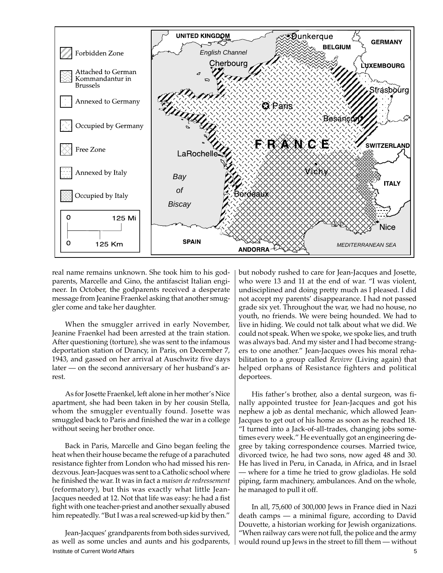

real name remains unknown. She took him to his godparents, Marcelle and Gino, the antifascist Italian engineer. In October, the godparents received a desperate message from Jeanine Fraenkel asking that another smuggler come and take her daughter.

When the smuggler arrived in early November, Jeanine Fraenkel had been arrested at the train station. After questioning (torture), she was sent to the infamous deportation station of Drancy, in Paris, on December 7, 1943, and gassed on her arrival at Auschwitz five days later — on the second anniversary of her husband's arrest.

As for Josette Fraenkel, left alone in her mother's Nice apartment, she had been taken in by her cousin Stella, whom the smuggler eventually found. Josette was smuggled back to Paris and finished the war in a college without seeing her brother once.

Back in Paris, Marcelle and Gino began feeling the heat when their house became the refuge of a parachuted resistance fighter from London who had missed his rendezvous. Jean-Jacques was sent to a Catholic school where he finished the war. It was in fact a *maison de redressement* (reformatory), but this was exactly what little Jean-Jacques needed at 12. Not that life was easy: he had a fist fight with one teacher-priest and another sexually abused him repeatedly. "But I was a real screwed-up kid by then."

Institute of Current World Affairs 5 Jean-Jacques' grandparents from both sides survived, as well as some uncles and aunts and his godparents,

but nobody rushed to care for Jean-Jacques and Josette, who were 13 and 11 at the end of war. "I was violent, undisciplined and doing pretty much as I pleased. I did not accept my parents' disappearance. I had not passed grade six yet. Throughout the war, we had no house, no youth, no friends. We were being hounded. We had to live in hiding. We could not talk about what we did. We could not speak. When we spoke, we spoke lies, and truth was always bad. And my sister and I had become strangers to one another." Jean-Jacques owes his moral rehabilitation to a group called *Revivre* (Living again) that helped orphans of Resistance fighters and political deportees.

His father's brother, also a dental surgeon, was finally appointed trustee for Jean-Jacques and got his nephew a job as dental mechanic, which allowed Jean-Jacques to get out of his home as soon as he reached 18. "I turned into a Jack-of-all-trades, changing jobs sometimes every week." He eventually got an engineering degree by taking correspondence courses. Married twice, divorced twice, he had two sons, now aged 48 and 30. He has lived in Peru, in Canada, in Africa, and in Israel — where for a time he tried to grow gladiolas. He sold piping, farm machinery, ambulances. And on the whole, he managed to pull it off.

In all, 75,600 of 300,000 Jews in France died in Nazi death camps — a minimal figure, according to David Douvette, a historian working for Jewish organizations. "When railway cars were not full, the police and the army would round up Jews in the street to fill them — without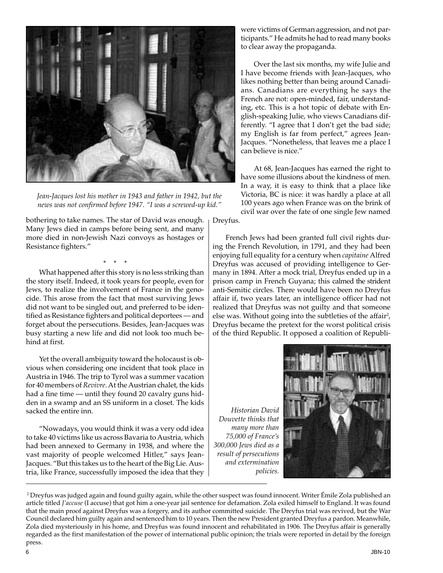

*Jean-Jacques lost his mother in 1943 and father in 1942, but the news was not confirmed before 1947. "I was a screwed-up kid."*

bothering to take names. The star of David was enough. Many Jews died in camps before being sent, and many more died in non-Jewish Nazi convoys as hostages or Resistance fighters."

\* \* \* What happened after this story is no less striking than the story itself. Indeed, it took years for people, even for Jews, to realize the involvement of France in the genocide. This arose from the fact that most surviving Jews did not want to be singled out, and preferred to be identified as Resistance fighters and political deportees — and forget about the persecutions. Besides, Jean-Jacques was busy starting a new life and did not look too much behind at first.

Yet the overall ambiguity toward the holocaust is obvious when considering one incident that took place in Austria in 1946. The trip to Tyrol was a summer vacation for 40 members of *Revivre*. At the Austrian chalet, the kids had a fine time — until they found 20 cavalry guns hidden in a swamp and an SS uniform in a closet. The kids sacked the entire inn.

"Nowadays, you would think it was a very odd idea to take 40 victims like us across Bavaria to Austria, which had been annexed to Germany in 1938, and where the vast majority of people welcomed Hitler," says Jean-Jacques. "But this takes us to the heart of the Big Lie. Austria, like France, successfully imposed the idea that they were victims of German aggression, and not participants." He admits he had to read many books to clear away the propaganda.

Over the last six months, my wife Julie and I have become friends with Jean-Jacques, who likes nothing better than being around Canadians. Canadians are everything he says the French are not: open-minded, fair, understanding, etc. This is a hot topic of debate with English-speaking Julie, who views Canadians differently. "I agree that I don't get the bad side; my English is far from perfect," agrees Jean-Jacques. "Nonetheless, that leaves me a place I can believe is nice."

At 68, Jean-Jacques has earned the right to have some illusions about the kindness of men. In a way, it is easy to think that a place like Victoria, BC is nice: it was hardly a place at all 100 years ago when France was on the brink of civil war over the fate of one single Jew named

Dreyfus.

French Jews had been granted full civil rights during the French Revolution, in 1791, and they had been enjoying full equality for a century when *capitaine* Alfred Dreyfus was accused of providing intelligence to Germany in 1894. After a mock trial, Dreyfus ended up in a prison camp in French Guyana; this calmed the strident anti-Semitic circles. There would have been no Dreyfus affair if, two years later, an intelligence officer had not realized that Dreyfus was not guilty and that someone else was. Without going into the subtleties of the affair $^2$ , Dreyfus became the pretext for the worst political crisis of the third Republic. It opposed a coalition of Republi-

*Historian David Douvette thinks that many more than 75,000 of France's 300,000 Jews died as a result of persecutions and extermination policies.*



<sup>2</sup> Dreyfus was judged again and found guilty again, while the other suspect was found innocent. Writer Émile Zola published an article titled *J'accuse* (I accuse) that got him a one-year jail sentence for defamation. Zola exiled himself to England. It was found that the main proof against Dreyfus was a forgery, and its author committed suicide. The Dreyfus trial was revived, but the War Council declared him guilty again and sentenced him to 10 years. Then the new President granted Dreyfus a pardon. Meanwhile, Zola died mysteriously in his home, and Dreyfus was found innocent and rehabilitated in 1906. The Dreyfus affair is generally regarded as the first manifestation of the power of international public opinion; the trials were reported in detail by the foreign press.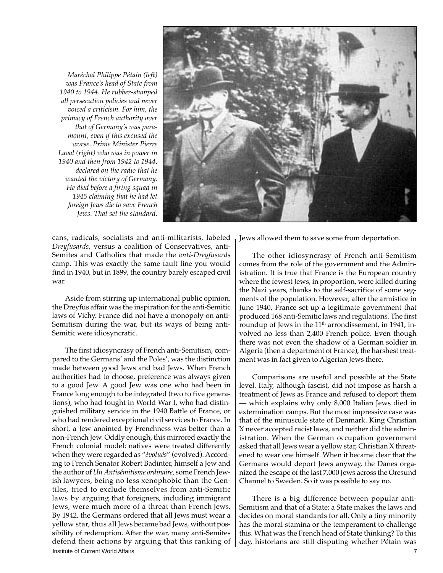*Maréchal Philippe Pétain (left) was France's head of State from 1940 to 1944. He rubber-stamped all persecution policies and never voiced a criticism. For him, the primacy of French authority over that of Germany's was paramount, even if this excused the worse. Prime Minister Pierre Laval (right) who was in power in 1940 and then from 1942 to 1944, declared on the radio that he wanted the victory of Germany. He died before a firing squad in 1945 claiming that he had let foreign Jews die to save French Jews. That set the standard.*



cans, radicals, socialists and anti-militarists, labeled *Dreyfusards*, versus a coalition of Conservatives, anti-Semites and Catholics that made the *anti-Dreyfusards* camp. This was exactly the same fault line you would find in 1940, but in 1899, the country barely escaped civil war.

Aside from stirring up international public opinion, the Dreyfus affair was the inspiration for the anti-Semitic laws of Vichy. France did not have a monopoly on anti-Semitism during the war, but its ways of being anti-Semitic were idiosyncratic.

**Institute of Current World Affairs 7** and 100 and 100 and 100 and 100 and 100 and 100 and 100 and 100 and 100 and 100 and 100 and 100 and 100 and 100 and 100 and 100 and 100 and 100 and 100 and 100 and 100 and 100 and 100 The first idiosyncrasy of French anti-Semitism, compared to the Germans' and the Poles', was the distinction made between good Jews and bad Jews. When French authorities had to choose, preference was always given to a good Jew. A good Jew was one who had been in France long enough to be integrated (two to five generations), who had fought in World War I, who had distinguished military service in the 1940 Battle of France, or who had rendered exceptional civil services to France. In short, a Jew anointed by Frenchness was better than a non-French Jew. Oddly enough, this mirrored exactly the French colonial model: natives were treated differently when they were regarded as "*évolués*" (evolved). According to French Senator Robert Badinter, himself a Jew and the author of *Un Antisémitisme ordinaire*, some French Jewish lawyers, being no less xenophobic than the Gentiles, tried to exclude themselves from anti-Semitic laws by arguing that foreigners, including immigrant Jews, were much more of a threat than French Jews. By 1942, the Germans ordered that all Jews must wear a yellow star, thus all Jews became bad Jews, without possibility of redemption. After the war, many anti-Semites defend their actions by arguing that this ranking of

Jews allowed them to save some from deportation.

The other idiosyncrasy of French anti-Semitism comes from the role of the government and the Administration. It is true that France is the European country where the fewest Jews, in proportion, were killed during the Nazi years, thanks to the self-sacrifice of some segments of the population. However, after the armistice in June 1940, France set up a legitimate government that produced 168 anti-Semitic laws and regulations. The first roundup of Jews in the  $11<sup>th</sup>$  arrondissement, in 1941, involved no less than 2,400 French police. Even though there was not even the shadow of a German soldier in Algeria (then a department of France), the harshest treatment was in fact given to Algerian Jews there.

Comparisons are useful and possible at the State level. Italy, although fascist, did not impose as harsh a treatment of Jews as France and refused to deport them — which explains why only 8,000 Italian Jews died in extermination camps. But the most impressive case was that of the minuscule state of Denmark. King Christian X never accepted racist laws, and neither did the administration. When the German occupation government asked that all Jews wear a yellow star, Christian X threatened to wear one himself. When it became clear that the Germans would deport Jews anyway, the Danes organized the escape of the last 7,000 Jews across the Oresund Channel to Sweden. So it was possible to say no.

There is a big difference between popular anti-Semitism and that of a State: a State makes the laws and decides on moral standards for all. Only a tiny minority has the moral stamina or the temperament to challenge this. What was the French head of State thinking? To this day, historians are still disputing whether Pétain was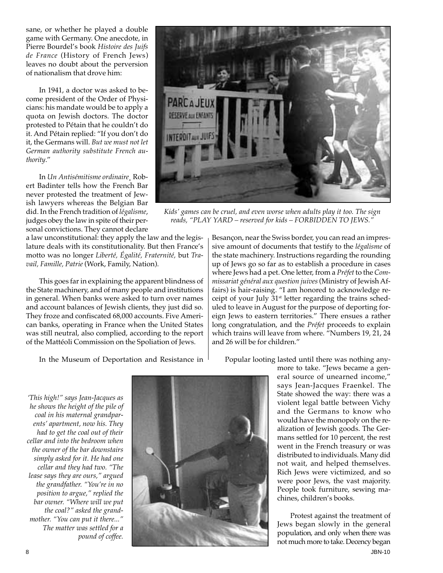sane, or whether he played a double game with Germany. One anecdote, in Pierre Bourdel's book *Histoire des Juifs de France* (History of French Jews) leaves no doubt about the perversion of nationalism that drove him:

In 1941, a doctor was asked to become president of the Order of Physicians: his mandate would be to apply a quota on Jewish doctors. The doctor protested to Pétain that he couldn't do it. And Pétain replied: "If you don't do it, the Germans will. *But we must not let German authority substitute French authority*."

In *Un Antisémitisme ordinaire¸* Robert Badinter tells how the French Bar never protested the treatment of Jewish lawyers whereas the Belgian Bar did. In the French tradition of *légalisme*, judges obey the law in spite of their personal convictions. They cannot declare

a law unconstitutional: they apply the law and the legislature deals with its constitutionality. But then France's motto was no longer *Liberté, Égalité, Fraternité,* but *Travail, Famille, Patrie* (Work, Family, Nation).

This goes far in explaining the apparent blindness of the State machinery, and of many people and institutions in general. When banks were asked to turn over names and account balances of Jewish clients, they just did so. They froze and confiscated 68,000 accounts. Five American banks, operating in France when the United States was still neutral, also complied, according to the report of the Mattéoli Commission on the Spoliation of Jews.

In the Museum of Deportation and Resistance in



*Kids' games can be cruel, and even worse when adults play it too. The sign reads, "PLAY YARD – reserved for kids – FORBIDDEN TO JEWS."*

Besançon, near the Swiss border, you can read an impressive amount of documents that testify to the *légalisme* of the state machinery. Instructions regarding the rounding up of Jews go so far as to establish a procedure in cases where Jews had a pet. One letter, from a *Préfet* to the *Commissariat général aux question juives* (Ministry of Jewish Affairs) is hair-raising. "I am honored to acknowledge receipt of your July 31<sup>st</sup> letter regarding the trains scheduled to leave in August for the purpose of deporting foreign Jews to eastern territories." There ensues a rather long congratulation, and the *Préfet* proceeds to explain which trains will leave from where. "Numbers 19, 21, 24 and 26 will be for children."

Popular looting lasted until there was nothing any-

*'This high!" says Jean-Jacques as he shows the height of the pile of coal in his maternal grandparents' apartment, now his. They had to get the coal out of their cellar and into the bedroom when the owner of the bar downstairs simply asked for it. He had one cellar and they had two. "The lease says they are ours," argued the grandfather. "You're in no position to argue," replied the bar owner. "Where will we put the coal?" asked the grandmother. "You can put it there..." The matter was settled for a pound of coffee.*



more to take. "Jews became a general source of unearned income," says Jean-Jacques Fraenkel. The State showed the way: there was a violent legal battle between Vichy and the Germans to know who would have the monopoly on the realization of Jewish goods. The Germans settled for 10 percent, the rest went in the French treasury or was distributed to individuals. Many did not wait, and helped themselves. Rich Jews were victimized, and so were poor Jews, the vast majority. People took furniture, sewing machines, children's books.

Protest against the treatment of Jews began slowly in the general population, and only when there was not much more to take. Decency began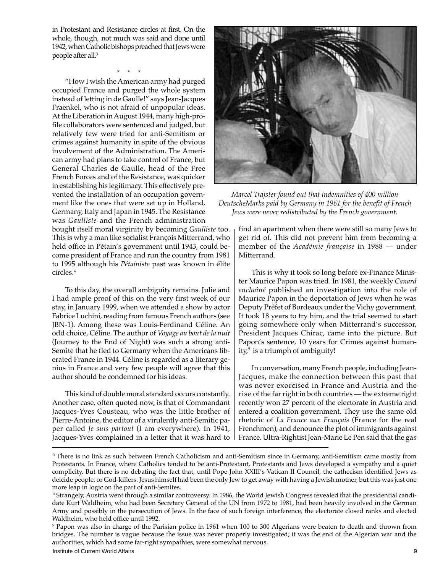in Protestant and Resistance circles at first. On the whole, though, not much was said and done until 1942, when Catholic bishops preached that Jews were people after all.3

\* \* \*

"How I wish the American army had purged occupied France and purged the whole system instead of letting in de Gaulle!" says Jean-Jacques Fraenkel, who is not afraid of unpopular ideas. At the Liberation in August 1944, many high-profile collaborators were sentenced and judged, but relatively few were tried for anti-Semitism or crimes against humanity in spite of the obvious involvement of the Administration. The American army had plans to take control of France, but General Charles de Gaulle, head of the Free French Forces and of the Resistance, was quicker in establishing his legitimacy. This effectively prevented the installation of an occupation government like the ones that were set up in Holland, Germany, Italy and Japan in 1945. The Resistance was *Gaulliste* and the French administration

bought itself moral virginity by becoming *Gaulliste* too. This is why a man like socialist François Mitterrand, who held office in Pétain's government until 1943, could become president of France and run the country from 1981 to 1995 although his *Pétainiste* past was known in élite circles.4

To this day, the overall ambiguity remains. Julie and I had ample proof of this on the very first week of our stay, in January 1999, when we attended a show by actor Fabrice Luchini, reading from famous French authors (see JBN-1). Among these was Louis-Ferdinand Céline. An odd choice, Céline. The author of *Voyage au bout de la nuit* (Journey to the End of Night) was such a strong anti-Semite that he fled to Germany when the Americans liberated France in 1944. Céline is regarded as a literary genius in France and very few people will agree that this author should be condemned for his ideas.

This kind of double moral standard occurs constantly. Another case, often quoted now, is that of Commandant Jacques-Yves Cousteau, who was the little brother of Pierre-Antoine, the editor of a virulently anti-Semitic paper called *Je suis partout* (I am everywhere). In 1941, Jacques-Yves complained in a letter that it was hard to



*Marcel Trajster found out that indemnities of 400 million DeutscheMarks paid by Germany in 1961 for the benefit of French Jews were never redistributed by the French government.*

find an apartment when there were still so many Jews to get rid of. This did not prevent him from becoming a member of the *Académie française* in 1988 — under Mitterrand.

This is why it took so long before ex-Finance Minister Maurice Papon was tried. In 1981, the weekly *Canard enchaîné* published an investigation into the role of Maurice Papon in the deportation of Jews when he was Deputy Préfet of Bordeaux under the Vichy government. It took 18 years to try him, and the trial seemed to start going somewhere only when Mitterrand's successor, President Jacques Chirac, came into the picture. But Papon's sentence, 10 years for Crimes against humanity, $5$  is a triumph of ambiguity!

In conversation, many French people, including Jean-Jacques, make the connection between this past that was never exorcised in France and Austria and the rise of the far right in both countries — the extreme right recently won 27 percent of the electorate in Austria and entered a coalition government. They use the same old rhetoric of *La France aux Français* (France for the real Frenchmen), and denounce the plot of immigrants against France. Ultra-Rightist Jean-Marie Le Pen said that the gas

Institute of Current World Affairs 9

 $\,$  There is no link as such between French Catholicism and anti-Semitism since in Germany, anti-Semitism came mostly from Protestants. In France, where Catholics tended to be anti-Protestant, Protestants and Jews developed a sympathy and a quiet complicity. But there is no debating the fact that, until Pope John XXIII's Vatican II Council, the cathecism identified Jews as deicide people, or God-killers. Jesus himself had been the only Jew to get away with having a Jewish mother, but this was just one more leap in logic on the part of anti-Semites.

<sup>4</sup> Strangely, Austria went through a similar controversy. In 1986, the World Jewish Congress revealed that the presidential candidate Kurt Waldheim, who had been Secretary General of the UN from 1972 to 1981, had been heavily involved in the German Army and possibly in the persecution of Jews. In the face of such foreign interference, the electorate closed ranks and elected Waldheim, who held office until 1992.

 $^5$  Papon was also in charge of the Parisian police in 1961 when 100 to 300 Algerians were beaten to death and thrown from bridges. The number is vague because the issue was never properly investigated; it was the end of the Algerian war and the authorities, which had some far-right sympathies, were somewhat nervous.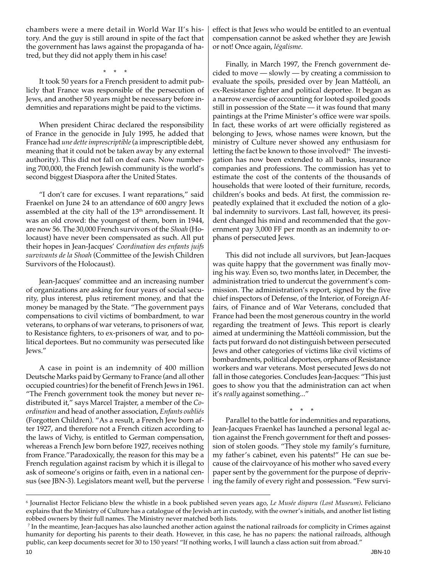chambers were a mere detail in World War II's history. And the guy is still around in spite of the fact that the government has laws against the propaganda of hatred, but they did not apply them in his case!

\* \* \*

It took 50 years for a French president to admit publicly that France was responsible of the persecution of Jews, and another 50 years might be necessary before indemnities and reparations might be paid to the victims.

When president Chirac declared the responsibility of France in the genocide in July 1995, he added that France had *une dette imprescriptible* (a imprescriptible debt, meaning that it could not be taken away by any external authority). This did not fall on deaf ears. Now numbering 700,000, the French Jewish community is the world's second biggest Diaspora after the United States.

"I don't care for excuses. I want reparations," said Fraenkel on June 24 to an attendance of 600 angry Jews assembled at the city hall of the  $13^{\rm th}$  arrondissement. It was an old crowd: the youngest of them, born in 1944, are now 56. The 30,000 French survivors of the *Shoah* (Holocaust) have never been compensated as such. All put their hopes in Jean-Jacques' *Coordination des enfants juifs survivants de la Shoah* (Committee of the Jewish Children Survivors of the Holocaust).

Jean-Jacques' committee and an increasing number of organizations are asking for four years of social security, plus interest, plus retirement money, and that the money be managed by the State. "The government pays compensations to civil victims of bombardment, to war veterans, to orphans of war veterans, to prisoners of war, to Resistance fighters, to ex-prisoners of war, and to political deportees. But no community was persecuted like Jews."

A case in point is an indemnity of 400 million Deutsche Marks paid by Germany to France (and all other occupied countries) for the benefit of French Jews in 1961. "The French government took the money but never redistributed it," says Marcel Trajster, a member of the *Coordination* and head of another association, *Enfants oubliés* (Forgotten Children). "As a result, a French Jew born after 1927, and therefore not a French citizen according to the laws of Vichy, is entitled to German compensation, whereas a French Jew born before 1927, receives nothing from France."Paradoxically, the reason for this may be a French regulation against racism by which it is illegal to ask of someone's origins or faith, even in a national census (see JBN-3). Legislators meant well, but the perverse

effect is that Jews who would be entitled to an eventual compensation cannot be asked whether they are Jewish or not! Once again, *légalisme*.

Finally, in March 1997, the French government decided to move — slowly — by creating a commission to evaluate the spoils, presided over by Jean Mattéoli, an ex-Resistance fighter and political deportee. It began as a narrow exercise of accounting for looted spoiled goods still in possession of the State — it was found that many paintings at the Prime Minister's office were war spoils. In fact, these works of art were officially registered as belonging to Jews, whose names were known, but the ministry of Culture never showed any enthusiasm for letting the fact be known to those involved!<sup>6</sup> The investigation has now been extended to all banks, insurance companies and professions. The commission has yet to estimate the cost of the contents of the thousands of households that were looted of their furniture, records, children's books and beds. At first, the commission repeatedly explained that it excluded the notion of a global indemnity to survivors. Last fall, however, its president changed his mind and recommended that the government pay 3,000 FF per month as an indemnity to orphans of persecuted Jews.

This did not include all survivors, but Jean-Jacques was quite happy that the government was finally moving his way. Even so, two months later, in December, the administration tried to undercut the government's commission. The administration's report, signed by the five chief inspectors of Defense, of the Interior, of Foreign Affairs, of Finance and of War Veterans, concluded that France had been the most generous country in the world regarding the treatment of Jews. This report is clearly aimed at undermining the Mattéoli commission, but the facts put forward do not distinguish between persecuted Jews and other categories of victims like civil victims of bombardments, political deportees, orphans of Resistance workers and war veterans. Most persecuted Jews do not fall in those categories. Concludes Jean-Jacques: "This just goes to show you that the administration can act when it's *really* against something..."

\* \* \* Parallel to the battle for indemnities and reparations, Jean-Jacques Fraenkel has launched a personal legal action against the French government for theft and possession of stolen goods. "They stole my family's furniture, my father's cabinet, even his patents!" He can sue because of the clairvoyance of his mother who saved every paper sent by the government for the purpose of depriving the family of every right and possession. "Few survi-

<sup>6</sup> Journalist Hector Feliciano blew the whistle in a book published seven years ago, *Le Musée disparu (Lost Museum).* Feliciano explains that the Ministry of Culture has a catalogue of the Jewish art in custody, with the owner's initials, and another list listing robbed owners by their full names. The Ministry never matched both lists.

<sup>7</sup> In the meantime, Jean-Jacques has also launched another action against the national railroads for complicity in Crimes against humanity for deporting his parents to their death. However, in this case, he has no papers: the national railroads, although public, can keep documents secret for 30 to 150 years! "If nothing works, I will launch a class action suit from abroad."